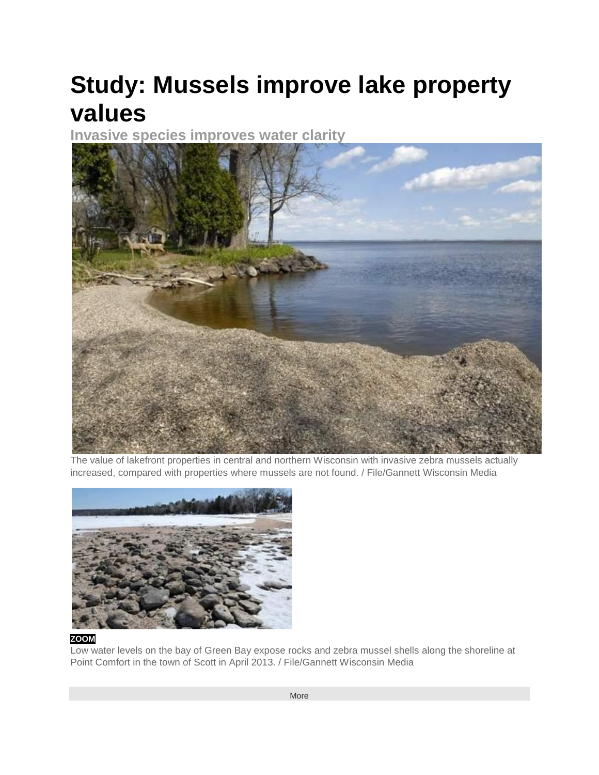## **Study: Mussels improve lake property values**

**Invasive species improves water clarity**



The value of lakefront properties in central and northern Wisconsin with invasive zebra mussels actually increased, compared with properties where mussels are not found. / File/Gannett Wisconsin Media



## **[ZOOM](javascript:void(null);)**

Low water levels on the bay of Green Bay expose rocks and zebra mussel shells along the shoreline at Point Comfort in the town of Scott in April 2013. / File/Gannett Wisconsin Media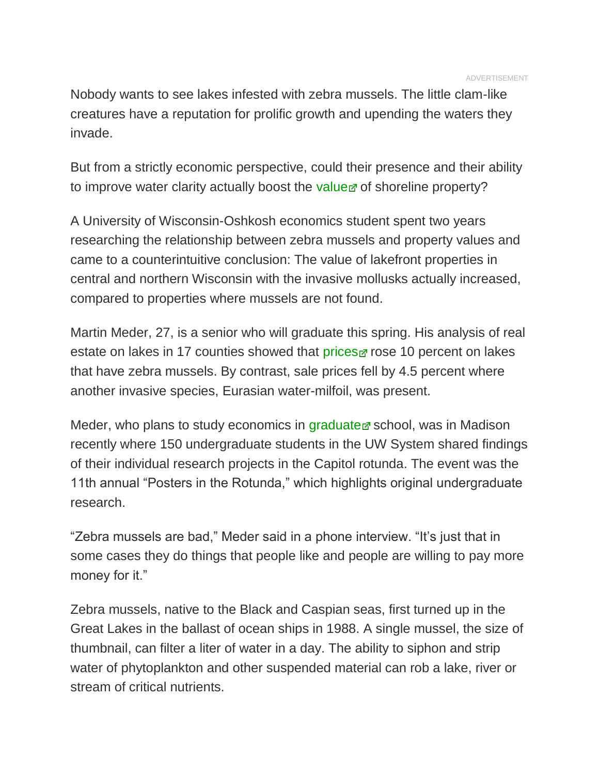Nobody wants to see lakes infested with zebra mussels. The little clam-like creatures have a reputation for prolific growth and upending the waters they invade.

But from a strictly economic perspective, could their presence and their ability to improve water clarity actually boost the [value](http://www.wisconsinrapidstribune.com/viewart/20140403/GPG03/304030403/Study-Mussels-improve-lake-property-values) of shoreline property?

A University of Wisconsin-Oshkosh economics student spent two years researching the relationship between zebra mussels and property values and came to a counterintuitive conclusion: The value of lakefront properties in central and northern Wisconsin with the invasive mollusks actually increased, compared to properties where mussels are not found.

Martin Meder, 27, is a senior who will graduate this spring. His analysis of real estate on lakes in 17 counties showed that [prices](http://www.wisconsinrapidstribune.com/viewart/20140403/GPG03/304030403/Study-Mussels-improve-lake-property-values)  $\sigma$  rose 10 percent on lakes that have zebra mussels. By contrast, sale prices fell by 4.5 percent where another invasive species, Eurasian water-milfoil, was present.

Meder, who plans to study economics in [graduate](http://www.wisconsinrapidstribune.com/viewart/20140403/GPG03/304030403/Study-Mussels-improve-lake-property-values)  $\sigma$  school, was in Madison recently where 150 undergraduate students in the UW System shared findings of their individual research projects in the Capitol rotunda. The event was the 11th annual "Posters in the Rotunda," which highlights original undergraduate research.

"Zebra mussels are bad," Meder said in a phone interview. "It's just that in some cases they do things that people like and people are willing to pay more money for it."

Zebra mussels, native to the Black and Caspian seas, first turned up in the Great Lakes in the ballast of ocean ships in 1988. A single mussel, the size of thumbnail, can filter a liter of water in a day. The ability to siphon and strip water of phytoplankton and other suspended material can rob a lake, river or stream of critical nutrients.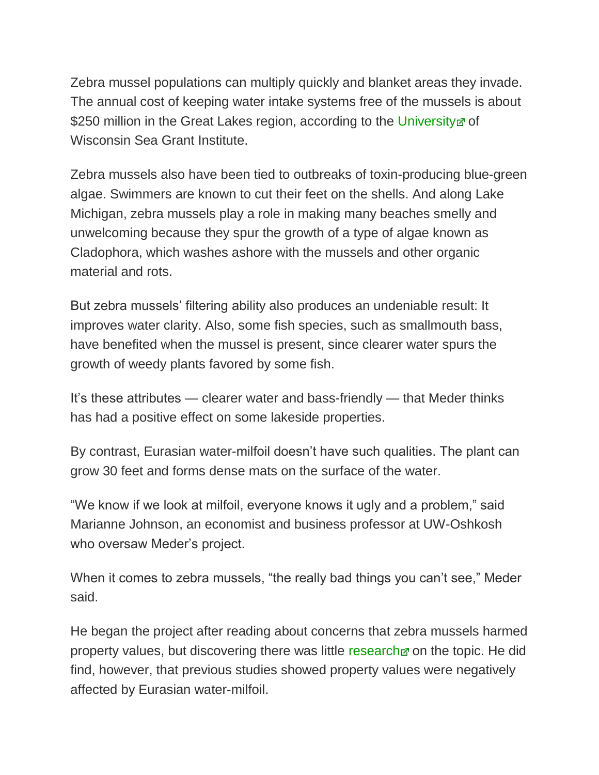Zebra mussel populations can multiply quickly and blanket areas they invade. The annual cost of keeping water intake systems free of the mussels is about \$250 million in the Great Lakes region, according to the [University](http://www.wisconsinrapidstribune.com/viewart/20140403/GPG03/304030403/Study-Mussels-improve-lake-property-values) of Wisconsin Sea Grant Institute.

Zebra mussels also have been tied to outbreaks of toxin-producing blue-green algae. Swimmers are known to cut their feet on the shells. And along Lake Michigan, zebra mussels play a role in making many beaches smelly and unwelcoming because they spur the growth of a type of algae known as Cladophora, which washes ashore with the mussels and other organic material and rots.

But zebra mussels' filtering ability also produces an undeniable result: It improves water clarity. Also, some fish species, such as smallmouth bass, have benefited when the mussel is present, since clearer water spurs the growth of weedy plants favored by some fish.

It's these attributes — clearer water and bass-friendly — that Meder thinks has had a positive effect on some lakeside properties.

By contrast, Eurasian water-milfoil doesn't have such qualities. The plant can grow 30 feet and forms dense mats on the surface of the water.

"We know if we look at milfoil, everyone knows it ugly and a problem," said Marianne Johnson, an economist and business professor at UW-Oshkosh who oversaw Meder's project.

When it comes to zebra mussels, "the really bad things you can't see," Meder said.

He began the project after reading about concerns that zebra mussels harmed property values, but discovering there was little [research](http://www.wisconsinrapidstribune.com/viewart/20140403/GPG03/304030403/Study-Mussels-improve-lake-property-values)  $\alpha$  on the topic. He did find, however, that previous studies showed property values were negatively affected by Eurasian water-milfoil.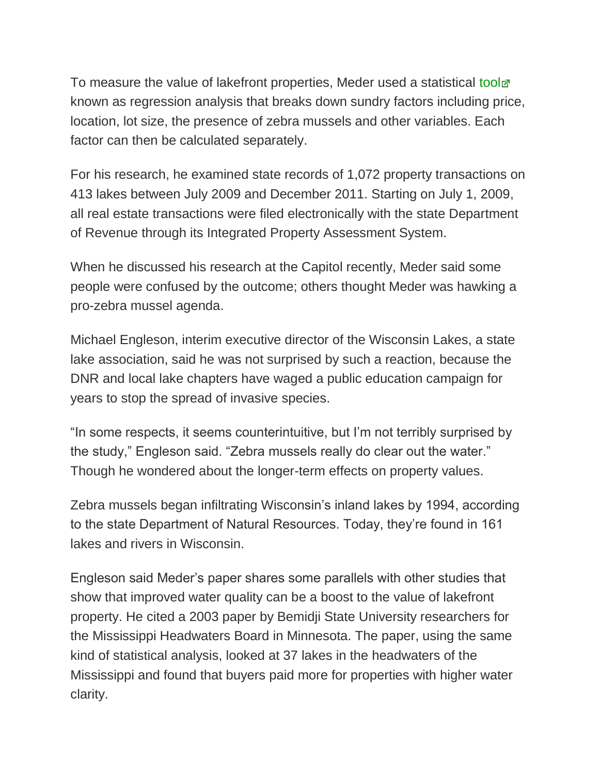To measure the value of lakefront properties, Meder used a statistical [tool](http://www.wisconsinrapidstribune.com/viewart/20140403/GPG03/304030403/Study-Mussels-improve-lake-property-values) known as regression analysis that breaks down sundry factors including price, location, lot size, the presence of zebra mussels and other variables. Each factor can then be calculated separately.

For his research, he examined state records of 1,072 property transactions on 413 lakes between July 2009 and December 2011. Starting on July 1, 2009, all real estate transactions were filed electronically with the state Department of Revenue through its Integrated Property Assessment System.

When he discussed his research at the Capitol recently, Meder said some people were confused by the outcome; others thought Meder was hawking a pro-zebra mussel agenda.

Michael Engleson, interim executive director of the Wisconsin Lakes, a state lake association, said he was not surprised by such a reaction, because the DNR and local lake chapters have waged a public education campaign for years to stop the spread of invasive species.

"In some respects, it seems counterintuitive, but I'm not terribly surprised by the study," Engleson said. "Zebra mussels really do clear out the water." Though he wondered about the longer-term effects on property values.

Zebra mussels began infiltrating Wisconsin's inland lakes by 1994, according to the state Department of Natural Resources. Today, they're found in 161 lakes and rivers in Wisconsin.

Engleson said Meder's paper shares some parallels with other studies that show that improved water quality can be a boost to the value of lakefront property. He cited a 2003 paper by Bemidji State University researchers for the Mississippi Headwaters Board in Minnesota. The paper, using the same kind of statistical analysis, looked at 37 lakes in the headwaters of the Mississippi and found that buyers paid more for properties with higher water clarity.